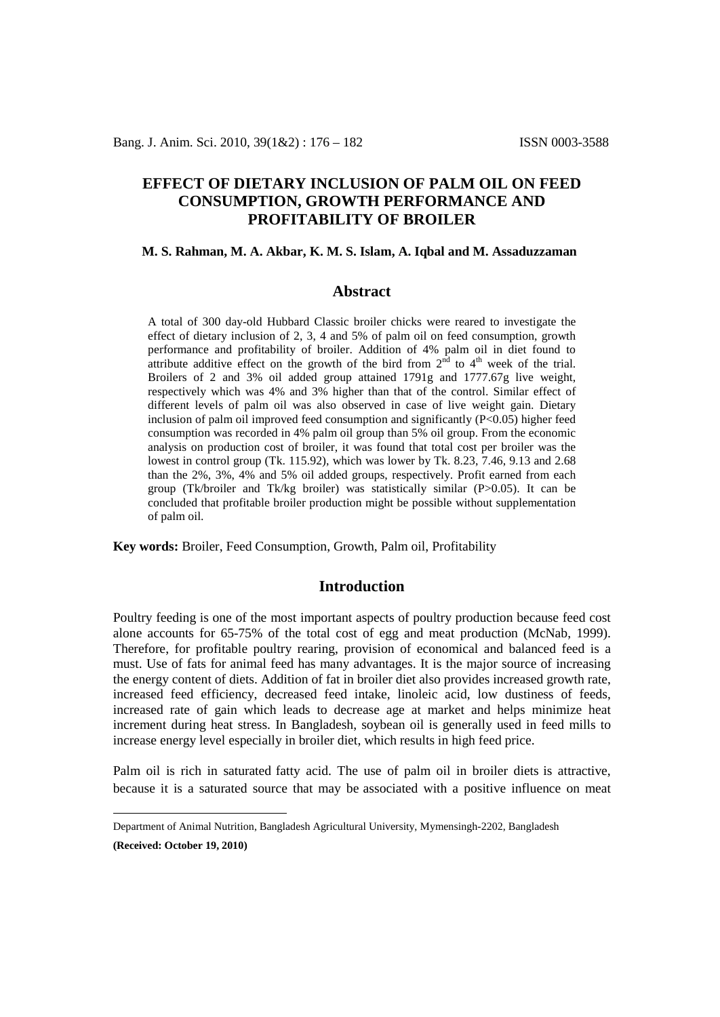# **EFFECT OF DIETARY INCLUSION OF PALM OIL ON FEED CONSUMPTION, GROWTH PERFORMANCE AND PROFITABILITY OF BROILER**

#### **M. S. Rahman, M. A. Akbar, K. M. S. Islam, A. Iqbal and M. Assaduzzaman[1](#page-0-0)**

### **Abstract**

A total of 300 day-old Hubbard Classic broiler chicks were reared to investigate the effect of dietary inclusion of 2, 3, 4 and 5% of palm oil on feed consumption, growth performance and profitability of broiler. Addition of 4% palm oil in diet found to attribute additive effect on the growth of the bird from  $2<sup>nd</sup>$  to  $4<sup>th</sup>$  week of the trial. Broilers of 2 and 3% oil added group attained 1791g and 1777.67g live weight, respectively which was 4% and 3% higher than that of the control. Similar effect of different levels of palm oil was also observed in case of live weight gain. Dietary inclusion of palm oil improved feed consumption and significantly  $(P<0.05)$  higher feed consumption was recorded in 4% palm oil group than 5% oil group. From the economic analysis on production cost of broiler, it was found that total cost per broiler was the lowest in control group (Tk. 115.92), which was lower by Tk. 8.23, 7.46, 9.13 and 2.68 than the 2%, 3%, 4% and 5% oil added groups, respectively. Profit earned from each group (Tk/broiler and Tk/kg broiler) was statistically similar (P>0.05). It can be concluded that profitable broiler production might be possible without supplementation of palm oil.

**Key words:** Broiler, Feed Consumption, Growth, Palm oil, Profitability

### **Introduction**

Poultry feeding is one of the most important aspects of poultry production because feed cost alone accounts for 65-75% of the total cost of egg and meat production (McNab, 1999). Therefore, for profitable poultry rearing, provision of economical and balanced feed is a must. Use of fats for animal feed has many advantages. It is the major source of increasing the energy content of diets. Addition of fat in broiler diet also provides increased growth rate, increased feed efficiency, decreased feed intake, linoleic acid, low dustiness of feeds, increased rate of gain which leads to decrease age at market and helps minimize heat increment during heat stress. In Bangladesh, soybean oil is generally used in feed mills to increase energy level especially in broiler diet, which results in high feed price.

Palm oil is rich in saturated fatty acid. The use of palm oil in broiler diets is attractive, because it is a saturated source that may be associated with a positive influence on meat

<span id="page-0-0"></span>Department of Animal Nutrition, Bangladesh Agricultural University, Mymensingh-2202, Bangladesh **(Received: October 19, 2010)**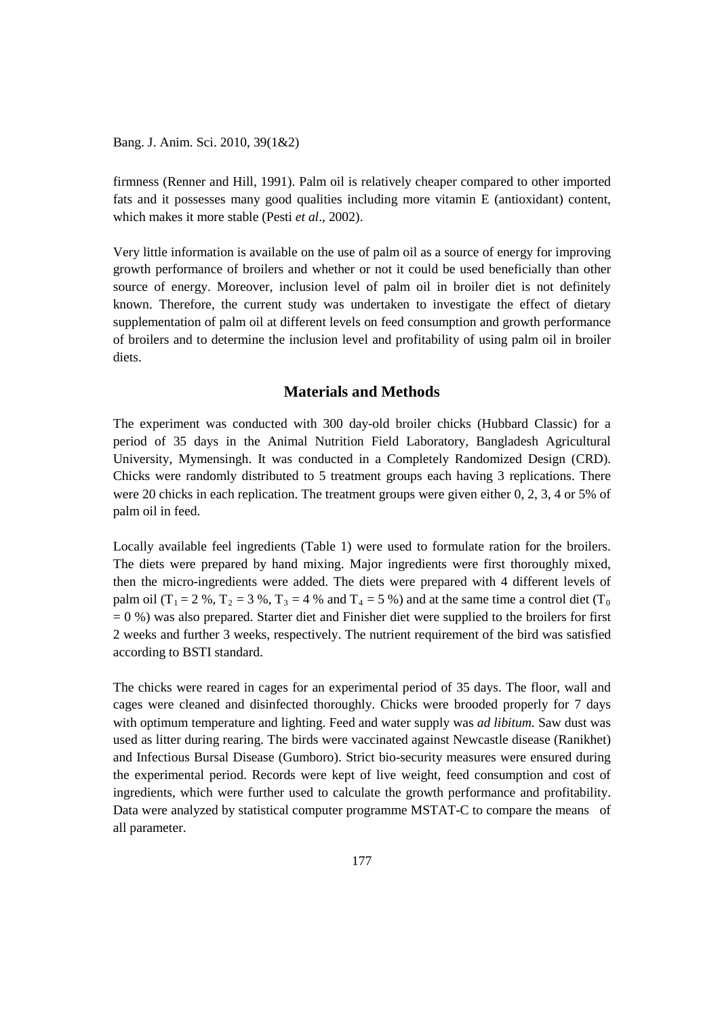Bang. J. Anim. Sci. 2010, 39(1&2)

firmness (Renner and Hill, 1991). Palm oil is relatively cheaper compared to other imported fats and it possesses many good qualities including more vitamin E (antioxidant) content, which makes it more stable (Pesti *et al*., 2002).

Very little information is available on the use of palm oil as a source of energy for improving growth performance of broilers and whether or not it could be used beneficially than other source of energy. Moreover, inclusion level of palm oil in broiler diet is not definitely known. Therefore, the current study was undertaken to investigate the effect of dietary supplementation of palm oil at different levels on feed consumption and growth performance of broilers and to determine the inclusion level and profitability of using palm oil in broiler diets.

## **Materials and Methods**

The experiment was conducted with 300 day-old broiler chicks (Hubbard Classic) for a period of 35 days in the Animal Nutrition Field Laboratory, Bangladesh Agricultural University, Mymensingh. It was conducted in a Completely Randomized Design (CRD). Chicks were randomly distributed to 5 treatment groups each having 3 replications. There were 20 chicks in each replication. The treatment groups were given either 0, 2, 3, 4 or 5% of palm oil in feed.

Locally available feel ingredients (Table 1) were used to formulate ration for the broilers. The diets were prepared by hand mixing. Major ingredients were first thoroughly mixed, then the micro-ingredients were added. The diets were prepared with 4 different levels of palm oil (T<sub>1</sub> = 2 %, T<sub>2</sub> = 3 %, T<sub>3</sub> = 4 % and T<sub>4</sub> = 5 %) and at the same time a control diet (T<sub>0</sub>)  $= 0$  %) was also prepared. Starter diet and Finisher diet were supplied to the broilers for first 2 weeks and further 3 weeks, respectively. The nutrient requirement of the bird was satisfied according to BSTI standard.

The chicks were reared in cages for an experimental period of 35 days. The floor, wall and cages were cleaned and disinfected thoroughly. Chicks were brooded properly for 7 days with optimum temperature and lighting. Feed and water supply was *ad libitum*. Saw dust was used as litter during rearing. The birds were vaccinated against Newcastle disease (Ranikhet) and Infectious Bursal Disease (Gumboro). Strict bio-security measures were ensured during the experimental period. Records were kept of live weight, feed consumption and cost of ingredients, which were further used to calculate the growth performance and profitability. Data were analyzed by statistical computer programme MSTAT-C to compare the means of all parameter.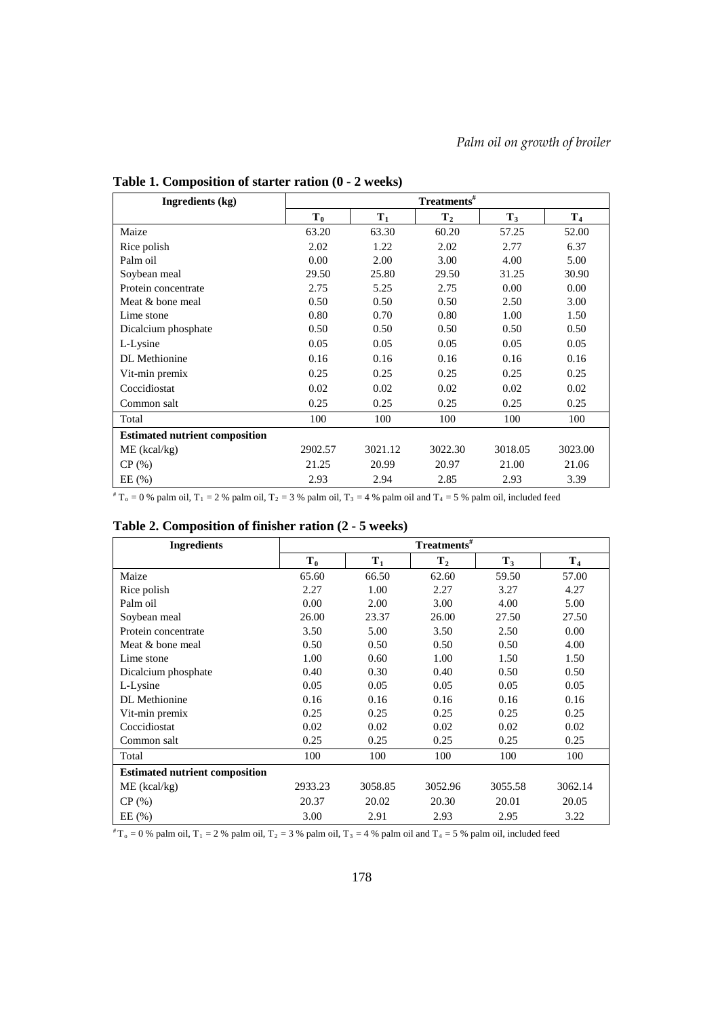| Ingredients (kg)                      | $\mathbf{Treatments}^{\#}$ |         |                |         |                |  |  |
|---------------------------------------|----------------------------|---------|----------------|---------|----------------|--|--|
|                                       | $T_0$                      | $T_1$   | T <sub>2</sub> | $T_3$   | T <sub>4</sub> |  |  |
| Maize                                 | 63.20                      | 63.30   | 60.20          | 57.25   | 52.00          |  |  |
| Rice polish                           | 2.02                       | 1.22    | 2.02           | 2.77    | 6.37           |  |  |
| Palm oil                              | 0.00                       | 2.00    | 3.00           | 4.00    | 5.00           |  |  |
| Soybean meal                          | 29.50                      | 25.80   | 29.50          | 31.25   | 30.90          |  |  |
| Protein concentrate                   | 2.75                       | 5.25    | 2.75           | 0.00    | 0.00           |  |  |
| Meat & bone meal                      | 0.50                       | 0.50    | 0.50           | 2.50    | 3.00           |  |  |
| Lime stone                            | 0.80                       | 0.70    | 0.80           | 1.00    | 1.50           |  |  |
| Dicalcium phosphate                   | 0.50                       | 0.50    | 0.50           | 0.50    | 0.50           |  |  |
| L-Lysine                              | 0.05                       | 0.05    | 0.05           | 0.05    | 0.05           |  |  |
| DL Methionine                         | 0.16                       | 0.16    | 0.16           | 0.16    | 0.16           |  |  |
| Vit-min premix                        | 0.25                       | 0.25    | 0.25           | 0.25    | 0.25           |  |  |
| Coccidiostat                          | 0.02                       | 0.02    | 0.02           | 0.02    | 0.02           |  |  |
| Common salt                           | 0.25                       | 0.25    | 0.25           | 0.25    | 0.25           |  |  |
| Total                                 | 100                        | 100     | 100            | 100     | 100            |  |  |
| <b>Estimated nutrient composition</b> |                            |         |                |         |                |  |  |
| $ME$ (kcal/kg)                        | 2902.57                    | 3021.12 | 3022.30        | 3018.05 | 3023.00        |  |  |
| CP(%)                                 | 21.25                      | 20.99   | 20.97          | 21.00   | 21.06          |  |  |
| EE(%)                                 | 2.93                       | 2.94    | 2.85           | 2.93    | 3.39           |  |  |

**Table 1. Composition of starter ration (0 - 2 weeks)**

 $\overline{r_{0}} = 0$  % palm oil, T<sub>1</sub> = 2 % palm oil, T<sub>2</sub> = 3 % palm oil, T<sub>3</sub> = 4 % palm oil and T<sub>4</sub> = 5 % palm oil, included feed

|  | Table 2. Composition of finisher ration (2 - 5 weeks) |  |  |  |  |  |
|--|-------------------------------------------------------|--|--|--|--|--|
|--|-------------------------------------------------------|--|--|--|--|--|

| <b>Ingredients</b>                    | $\mathbf{Treatments}^{\#}$ |         |         |         |                |  |
|---------------------------------------|----------------------------|---------|---------|---------|----------------|--|
|                                       | $T_0$                      | $T_1$   | Т,      | $T_3$   | T <sub>4</sub> |  |
| Maize                                 | 65.60                      | 66.50   | 62.60   | 59.50   | 57.00          |  |
| Rice polish                           | 2.27                       | 1.00    | 2.27    | 3.27    | 4.27           |  |
| Palm oil                              | 0.00                       | 2.00    | 3.00    | 4.00    | 5.00           |  |
| Soybean meal                          | 26.00                      | 23.37   | 26.00   | 27.50   | 27.50          |  |
| Protein concentrate                   | 3.50                       | 5.00    | 3.50    | 2.50    | 0.00           |  |
| Meat & bone meal                      | 0.50                       | 0.50    | 0.50    | 0.50    | 4.00           |  |
| Lime stone                            | 1.00                       | 0.60    | 1.00    | 1.50    | 1.50           |  |
| Dicalcium phosphate                   | 0.40                       | 0.30    | 0.40    | 0.50    | 0.50           |  |
| L-Lysine                              | 0.05                       | 0.05    | 0.05    | 0.05    | 0.05           |  |
| <b>DL</b> Methionine                  | 0.16                       | 0.16    | 0.16    | 0.16    | 0.16           |  |
| Vit-min premix                        | 0.25                       | 0.25    | 0.25    | 0.25    | 0.25           |  |
| Coccidiostat                          | 0.02                       | 0.02    | 0.02    | 0.02    | 0.02           |  |
| Common salt                           | 0.25                       | 0.25    | 0.25    | 0.25    | 0.25           |  |
| Total                                 | 100                        | 100     | 100     | 100     | 100            |  |
| <b>Estimated nutrient composition</b> |                            |         |         |         |                |  |
| $ME$ (kcal/kg)                        | 2933.23                    | 3058.85 | 3052.96 | 3055.58 | 3062.14        |  |
| CP(%)                                 | 20.37                      | 20.02   | 20.30   | 20.01   | 20.05          |  |
| EE (%)                                | 3.00                       | 2.91    | 2.93    | 2.95    | 3.22           |  |

 $*T_0 = 0$  % palm oil,  $T_1 = 2$  % palm oil,  $T_2 = 3$  % palm oil,  $T_3 = 4$  % palm oil and  $T_4 = 5$  % palm oil, included feed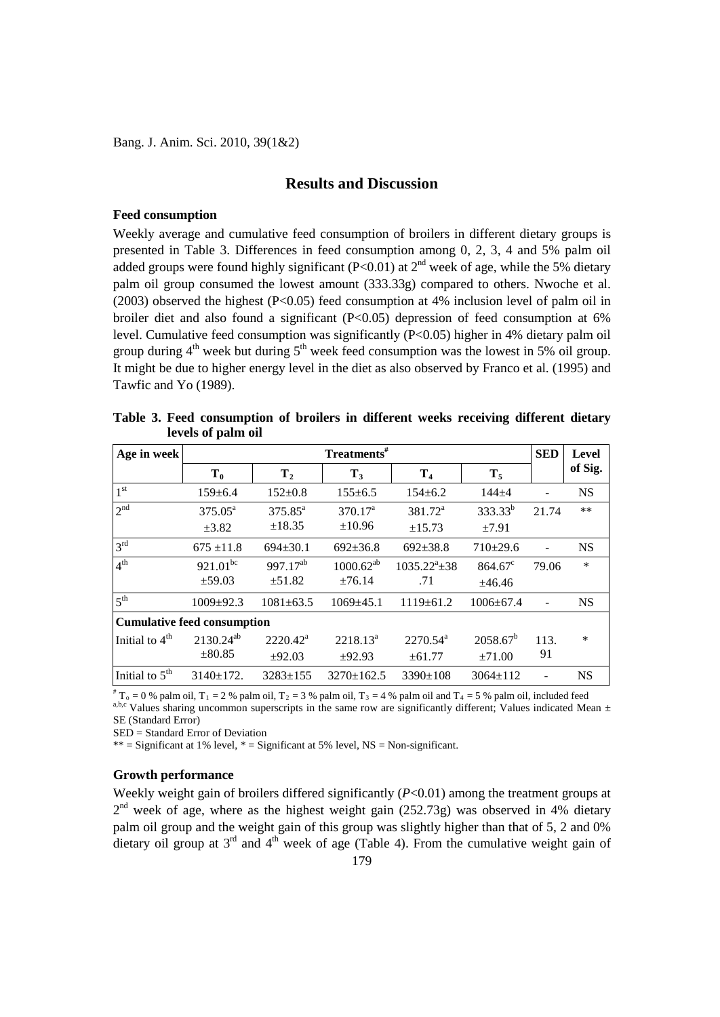Bang. J. Anim. Sci. 2010, 39(1&2)

## **Results and Discussion**

#### **Feed consumption**

Weekly average and cumulative feed consumption of broilers in different dietary groups is presented in Table 3. Differences in feed consumption among 0, 2, 3, 4 and 5% palm oil added groups were found highly significant (P<0.01) at  $2<sup>nd</sup>$  week of age, while the 5% dietary palm oil group consumed the lowest amount (333.33g) compared to others. Nwoche et al. (2003) observed the highest (P<0.05) feed consumption at 4% inclusion level of palm oil in broiler diet and also found a significant  $(P<0.05)$  depression of feed consumption at 6% level. Cumulative feed consumption was significantly (P<0.05) higher in 4% dietary palm oil group during  $4<sup>th</sup>$  week but during  $5<sup>th</sup>$  week feed consumption was the lowest in 5% oil group. It might be due to higher energy level in the diet as also observed by Franco et al. (1995) and Tawfic and Yo (1989).

| Age in week                        |                     | <b>SED</b>           | <b>Level</b>    |                      |                  |       |           |
|------------------------------------|---------------------|----------------------|-----------------|----------------------|------------------|-------|-----------|
|                                    | $T_0$               | T <sub>2</sub>       | $T_3$           | T <sub>4</sub>       | $T_5$            |       | of Sig.   |
| 1 <sup>st</sup>                    | $159 \pm 6.4$       | $152 \pm 0.8$        | $155 \pm 6.5$   | $154 \pm 6.2$        | $144 + 4$        |       | <b>NS</b> |
| 2 <sup>nd</sup>                    | $375.05^{\text{a}}$ | $375.85^a$           | $370.17^a$      | $381.72^a$           | $333.33^{b}$     | 21.74 | $**$      |
|                                    | $\pm 3.82$          | ±18.35               | $\pm 10.96$     | ±15.73               | ±7.91            |       |           |
| 3 <sup>rd</sup>                    | $675 \pm 11.8$      | $694 \pm 30.1$       | $692 \pm 36.8$  | $692 \pm 38.8$       | $710+29.6$       |       | <b>NS</b> |
| 4 <sup>th</sup>                    | $921.01^{bc}$       | 997.17 <sup>ab</sup> | $1000.62^{ab}$  | $1035.22^a \pm 38$   | $864.67^{\circ}$ | 79.06 | *         |
|                                    | $\pm$ 59.03         | ±51.82               | ±76.14          | .71                  | ±46.46           |       |           |
| 5 <sup>th</sup>                    | $1009 \pm 92.3$     | $1081 \pm 63.5$      | $1069 \pm 45.1$ | $1119 \pm 61.2$      | $1006 \pm 67.4$  |       | <b>NS</b> |
| <b>Cumulative feed consumption</b> |                     |                      |                 |                      |                  |       |           |
| Initial to 4 <sup>th</sup>         | $2130.24^{ab}$      | $2220.42^a$          | $2218.13^a$     | $2270.54^{\text{a}}$ | $2058.67^b$      | 113.  | $\ast$    |
|                                    | $\pm 80.85$         | ±92.03               | ±92.93          | ±61.77               | $\pm 71.00$      | 91    |           |
| Initial to $5th$                   | $3140 \pm 172$ .    | $3283 \pm 155$       | $3270+162.5$    | $3390 \pm 108$       | $3064 \pm 112$   |       | <b>NS</b> |

**Table 3. Feed consumption of broilers in different weeks receiving different dietary levels of palm oil**

<sup>#</sup> T<sub>o</sub> = 0 % palm oil, T<sub>1</sub> = 2 % palm oil, T<sub>2</sub> = 3 % palm oil, T<sub>3</sub> = 4 % palm oil and T<sub>4</sub> = 5 % palm oil, included feed<br><sup>a,b,c</sup> Values sharing uncommon superscripts in the same row are significantly different; Value SE (Standard Error)

SED = Standard Error of Deviation

\*\* = Significant at 1% level, \* = Significant at 5% level,  $NS = Non-significant$ .

### **Growth performance**

Weekly weight gain of broilers differed significantly  $(P<0.01)$  among the treatment groups at  $2<sup>nd</sup>$  week of age, where as the highest weight gain (252.73g) was observed in 4% dietary palm oil group and the weight gain of this group was slightly higher than that of 5, 2 and 0% dietary oil group at  $3<sup>rd</sup>$  and  $4<sup>th</sup>$  week of age (Table 4). From the cumulative weight gain of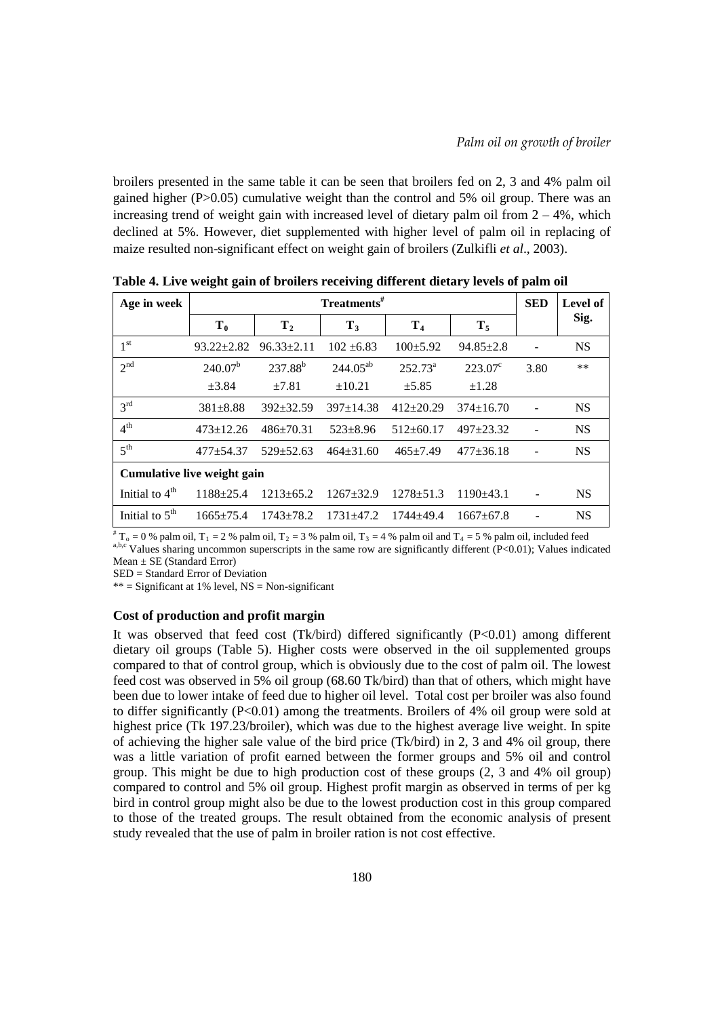broilers presented in the same table it can be seen that broilers fed on 2, 3 and 4% palm oil gained higher  $(P>0.05)$  cumulative weight than the control and 5% oil group. There was an increasing trend of weight gain with increased level of dietary palm oil from  $2 - 4\%$ , which declined at 5%. However, diet supplemented with higher level of palm oil in replacing of maize resulted non-significant effect on weight gain of broilers (Zulkifli *et al*., 2003).

| Age in week                 | $Treatments$ <sup>#</sup> |                  |                 |                  |                  |      | Level of  |  |
|-----------------------------|---------------------------|------------------|-----------------|------------------|------------------|------|-----------|--|
|                             | $T_0$                     | T <sub>2</sub>   | $T_3$           | T <sub>4</sub>   | $T_5$            |      | Sig.      |  |
| 1 <sup>st</sup>             | $93.22 \pm 2.82$          | $96.33 \pm 2.11$ | $102 + 6.83$    | $100 \pm 5.92$   | $94.85 \pm 2.8$  |      | <b>NS</b> |  |
| 2 <sup>nd</sup>             | $240.07^b$                | $237.88^{b}$     | $244.05^{ab}$   | $252.73^{\circ}$ | $223.07^{\circ}$ | 3.80 | $**$      |  |
|                             | $\pm 3.84$                | $\pm 7.81$       | ±10.21          | $\pm$ 5.85       | $\pm 1.28$       |      |           |  |
| 3 <sup>rd</sup>             | $381 \pm 8.88$            | $392 \pm 32.59$  | $397+14.38$     | $412+20.29$      | $374+16.70$      |      | <b>NS</b> |  |
| 4 <sup>th</sup>             | $473 \pm 12.26$           | $486 \pm 70.31$  | $523 + 8.96$    | $512 \pm 60.17$  | $497 + 23.32$    |      | <b>NS</b> |  |
| 5 <sup>th</sup>             | $477 + 54.37$             | $529 \pm 52.63$  | $464 \pm 31.60$ | $465 \pm 7.49$   | $477 \pm 36.18$  |      | <b>NS</b> |  |
| Cumulative live weight gain |                           |                  |                 |                  |                  |      |           |  |
| Initial to $4th$            | 1188±25.4                 | $1213 + 65.2$    | $1267 \pm 32.9$ | $1278 + 51.3$    | $1190+43.1$      |      | <b>NS</b> |  |
| Initial to $5th$            | $1665 + 75.4$             | $1743 + 78.2$    | $1731 \pm 47.2$ | $1744 + 49.4$    | $1667+67.8$      |      | <b>NS</b> |  |

**Table 4. Live weight gain of broilers receiving different dietary levels of palm oil**

<sup>#</sup> T<sub>o</sub> = 0 % palm oil, T<sub>1</sub> = 2 % palm oil, T<sub>2</sub> = 3 % palm oil, T<sub>3</sub> = 4 % palm oil and T<sub>4</sub> = 5 % palm oil, included feed<br><sup>a,b,c</sup> Values sharing uncommon superscripts in the same row are significantly different (P<0.0  $Mean \pm SE$  (Standard Error)

SED = Standard Error of Deviation

 $**$  = Significant at 1% level, NS = Non-significant

### **Cost of production and profit margin**

It was observed that feed cost (Tk/bird) differed significantly (P<0.01) among different dietary oil groups (Table 5). Higher costs were observed in the oil supplemented groups compared to that of control group, which is obviously due to the cost of palm oil. The lowest feed cost was observed in 5% oil group (68.60 Tk/bird) than that of others, which might have been due to lower intake of feed due to higher oil level. Total cost per broiler was also found to differ significantly  $(P<0.01)$  among the treatments. Broilers of 4% oil group were sold at highest price (Tk 197.23/broiler), which was due to the highest average live weight. In spite of achieving the higher sale value of the bird price (Tk/bird) in 2, 3 and 4% oil group, there was a little variation of profit earned between the former groups and 5% oil and control group. This might be due to high production cost of these groups (2, 3 and 4% oil group) compared to control and 5% oil group. Highest profit margin as observed in terms of per kg bird in control group might also be due to the lowest production cost in this group compared to those of the treated groups. The result obtained from the economic analysis of present study revealed that the use of palm in broiler ration is not cost effective.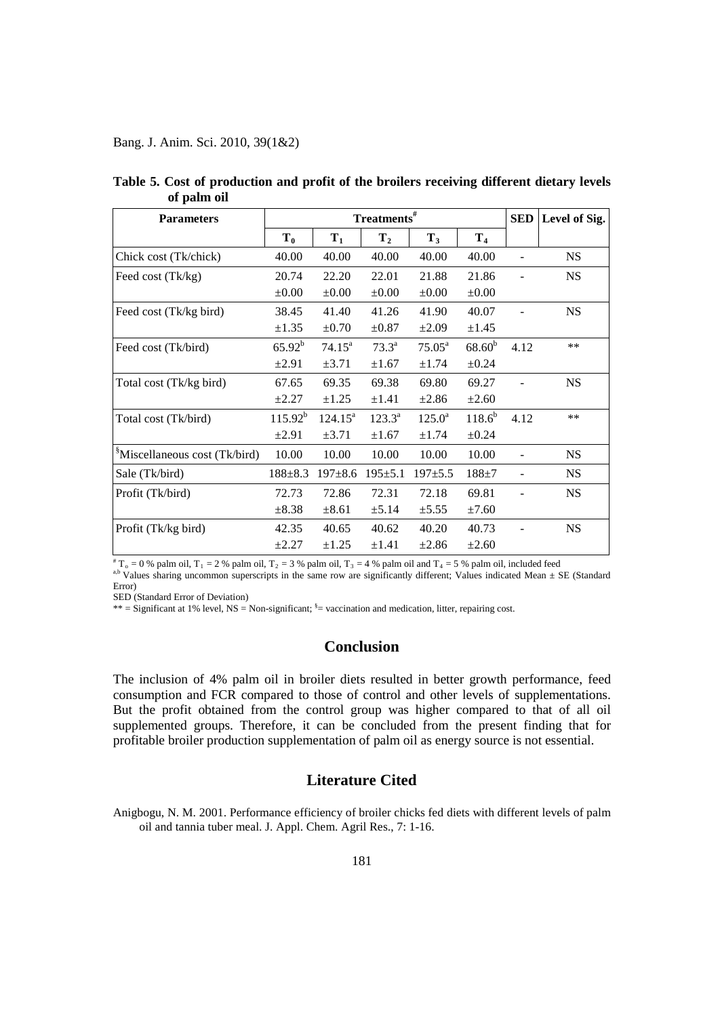Bang. J. Anim. Sci. 2010, 39(1&2)

| <b>Parameters</b>                         | Treatments <sup>#</sup> |                  |                 |                    |                | <b>SED</b> | Level of Sig. |
|-------------------------------------------|-------------------------|------------------|-----------------|--------------------|----------------|------------|---------------|
|                                           | $T_0$                   | $T_1$            | $T_{2}$         | $T_3$              | T <sub>4</sub> |            |               |
| Chick cost (Tk/chick)                     | 40.00                   | 40.00            | 40.00           | 40.00              | 40.00          |            | <b>NS</b>     |
| Feed cost (Tk/kg)                         | 20.74                   | 22.20            | 22.01           | 21.88              | 21.86          |            | <b>NS</b>     |
|                                           | $\pm 0.00$              | $\pm 0.00$       | $\pm 0.00$      | $\pm 0.00$         | $\pm 0.00$     |            |               |
| Feed cost (Tk/kg bird)                    | 38.45                   | 41.40            | 41.26           | 41.90              | 40.07          |            | <b>NS</b>     |
|                                           | $\pm 1.35$              | $\pm 0.70$       | $\pm 0.87$      | $\pm 2.09$         | $\pm 1.45$     |            |               |
| Feed cost (Tk/bird)                       | $65.92^b$               | $74.15^{\circ}$  | $73.3^{\rm a}$  | $75.05^{\text{a}}$ | $68.60^{b}$    | 4.12       | $**$          |
|                                           | $\pm 2.91$              | $\pm 3.71$       | $\pm 1.67$      | $\pm 1.74$         | $\pm 0.24$     |            |               |
| Total cost (Tk/kg bird)                   | 67.65                   | 69.35            | 69.38           | 69.80              | 69.27          |            | <b>NS</b>     |
|                                           | $\pm 2.27$              | $\pm 1.25$       | $\pm 1.41$      | $\pm 2.86$         | $\pm 2.60$     |            |               |
| Total cost (Tk/bird)                      | $115.92^{b}$            | $124.15^{\circ}$ | $123.3^{\circ}$ | $125.0^{\rm a}$    | $118.6^{b}$    | 4.12       | $***$         |
|                                           | $\pm 2.91$              | $\pm 3.71$       | $\pm 1.67$      | $\pm 1.74$         | $\pm 0.24$     |            |               |
| <sup>§</sup> Miscellaneous cost (Tk/bird) | 10.00                   | 10.00            | 10.00           | 10.00              | 10.00          |            | <b>NS</b>     |
| Sale (Tk/bird)                            | $188 \pm 8.3$           | $197 \pm 8.6$    | $195 \pm 5.1$   | $197 + 5.5$        | $188 + 7$      |            | <b>NS</b>     |
| Profit (Tk/bird)                          | 72.73                   | 72.86            | 72.31           | 72.18              | 69.81          |            | <b>NS</b>     |
|                                           | $\pm 8.38$              | $\pm 8.61$       | $\pm 5.14$      | ±5.55              | $\pm 7.60$     |            |               |
| Profit (Tk/kg bird)                       | 42.35                   | 40.65            | 40.62           | 40.20              | 40.73          |            | <b>NS</b>     |
|                                           | $\pm 2.27$              | $\pm 1.25$       | $\pm 1.41$      | $\pm 2.86$         | $\pm 2.60$     |            |               |

**Table 5. Cost of production and profit of the broilers receiving different dietary levels of palm oil**

<sup>#</sup> T<sub>o</sub> = 0 % palm oil, T<sub>1</sub> = 2 % palm oil, T<sub>2</sub> = 3 % palm oil, T<sub>3</sub> = 4 % palm oil and T<sub>4</sub> = 5 % palm oil, included feed<br><sup>a,b</sup> Values sharing uncommon superscripts in the same row are significantly different; Values Error)

SED (Standard Error of Deviation)

 $**$  = Significant at 1% level, NS = Non-significant;  $s$  = vaccination and medication, litter, repairing cost.

## **Conclusion**

The inclusion of 4% palm oil in broiler diets resulted in better growth performance, feed consumption and FCR compared to those of control and other levels of supplementations. But the profit obtained from the control group was higher compared to that of all oil supplemented groups. Therefore, it can be concluded from the present finding that for profitable broiler production supplementation of palm oil as energy source is not essential.

## **Literature Cited**

Anigbogu, N. M. 2001. Performance efficiency of broiler chicks fed diets with different levels of palm oil and tannia tuber meal. J. Appl. Chem. Agril Res., 7: 1-16.